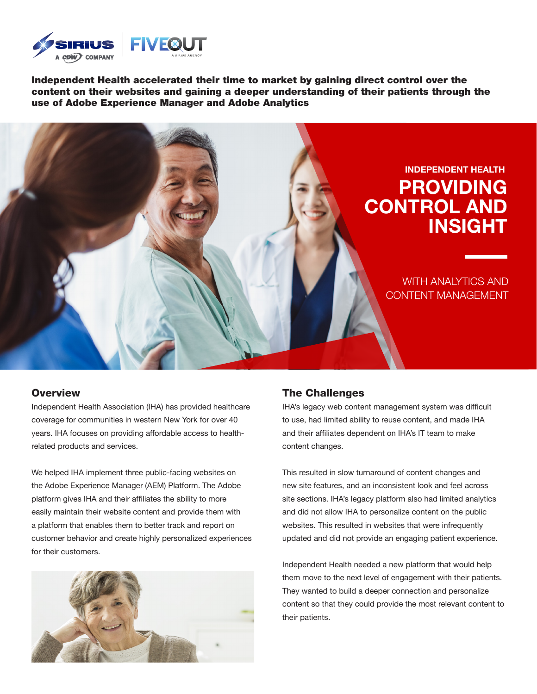

Independent Health accelerated their time to market by gaining direct control over the content on their websites and gaining a deeper understanding of their patients through the use of Adobe Experience Manager and Adobe Analytics



#### **Overview**

Independent Health Association (IHA) has provided healthcare coverage for communities in western New York for over 40 years. IHA focuses on providing affordable access to healthrelated products and services.

We helped IHA implement three public-facing websites on the Adobe Experience Manager (AEM) Platform. The Adobe platform gives IHA and their affiliates the ability to more easily maintain their website content and provide them with a platform that enables them to better track and report on customer behavior and create highly personalized experiences for their customers.



### The Challenges

IHA's legacy web content management system was difficult to use, had limited ability to reuse content, and made IHA and their affiliates dependent on IHA's IT team to make content changes.

This resulted in slow turnaround of content changes and new site features, and an inconsistent look and feel across site sections. IHA's legacy platform also had limited analytics and did not allow IHA to personalize content on the public websites. This resulted in websites that were infrequently updated and did not provide an engaging patient experience.

Independent Health needed a new platform that would help them move to the next level of engagement with their patients. They wanted to build a deeper connection and personalize content so that they could provide the most relevant content to their patients.